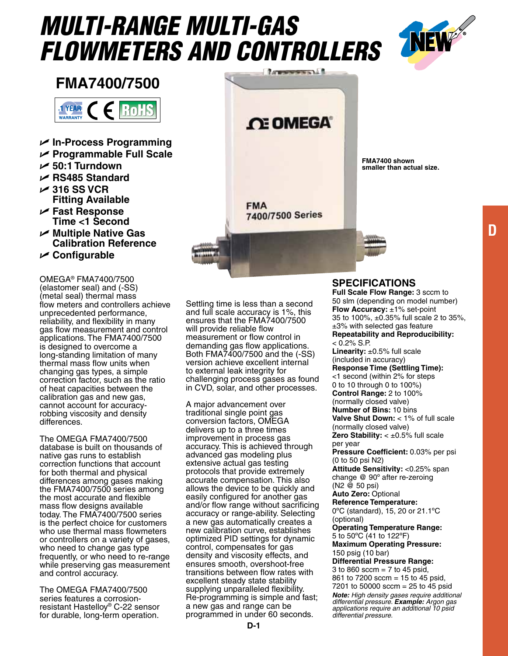# *Multi-Range Multi-gas FlowMeters and Controllers*



**FMA7400/7500**



- U **In-Process Programming**
- U **Programmable Full Scale**
- U **50:1 Turndown**
- U **RS485 Standard**
- U **316 SS VCR Fitting Available**
- U **Fast Response Time <1 Second**
- U **Multiple Native Gas Calibration Reference**
- U **Configurable**

Omega® FMA7400/7500 (elastomer seal) and (-SS) (metal seal) thermal mass flow meters and controllers achieve unprecedented performance, reliability, and flexibility in many gas flow measurement and control applications. The FMA7400/7500 is designed to overcome a long-standing limitation of many thermal mass flow units when changing gas types, a simple correction factor, such as the ratio of heat capacities between the calibration gas and new gas, cannot account for accuracyrobbing viscosity and density differences.

The Omega FMA7400/7500 database is built on thousands of native gas runs to establish correction functions that account for both thermal and physical differences among gases making the FMA7400/7500 series among the most accurate and flexible mass flow designs available today. The FMA7400/7500 series is the perfect choice for customers who use thermal mass flowmeters or controllers on a variety of gases, who need to change gas type frequently, or who need to re-range while preserving gas measurement and control accuracy.

The Omega FMA7400/7500 series features a corrosionresistant Hastelloy® C-22 sensor for durable, long-term operation.

Settling time is less than a second and full scale accuracy is 1%, this ensures that the FMA7400/7500 will provide reliable flow measurement or flow control in demanding gas flow applications. Both FMA7400/7500 and the (-SS) version achieve excellent internal to external leak integrity for challenging process gases as found in CVD, solar, and other processes.

**FMA** 

**CE OMEGA** 

7400/7500 Series

A major advancement over traditional single point gas conversion factors, OMEGA delivers up to a three times improvement in process gas accuracy. This is achieved through advanced gas modeling plus extensive actual gas testing protocols that provide extremely accurate compensation. This also allows the device to be quickly and easily configured for another gas and/or flow range without sacrificing accuracy or range-ability. Selecting a new gas automatically creates a new calibration curve, establishes optimized PID settings for dynamic control, compensates for gas density and viscosity effects, and ensures smooth, overshoot-free transitions between flow rates with excellent steady state stability supplying unparalleled flexibility. Re-programming is simple and fast; a new gas and range can be programmed in under 60 seconds.

## **Specifications**

**FMA7400 shown smaller than actual size.**

**Full Scale Flow Range:** 3 sccm to 50 slm (depending on model number) **Flow Accuracy:** ±1% set-point 35 to 100%, ±0.35% full scale 2 to 35%, ±3% with selected gas feature **Repeatability and Reproducibility:**   $< 0.2\%$  S.P. Linearity: ±0.5% full scale

(included in accuracy) **Response Time (Settling Time):**  <1 second (within 2% for steps 0 to 10 through 0 to 100%) **Control Range:** 2 to 100% (normally closed valve) **Number of Bins:** 10 bins **Valve Shut Down:** < 1% of full scale (normally closed valve) **Zero Stability:** < ±0.5% full scale per year **Pressure Coefficient:** 0.03% per psi (0 to 50 psi N2) **Attitude Sensitivity:** <0.25% span change @ 90º after re-zeroing (N2 @ 50 psi) **Auto Zero:** Optional **Reference Temperature:**  0ºC (standard), 15, 20 or 21.1ºC (optional) **Operating Temperature Range:**  5 to 50ºC (41 to 122ºF) **Maximum Operating Pressure:**  150 psig (10 bar) **Differential Pressure Range:**  3 to 860 sccm  $= 7$  to 45 psid,

861 to 7200 sccm = 15 to 45 psid, 7201 to 50000 sccm =  $25$  to 45 psid *Note: High density gases require additional differential pressure. Example: Argon gas applications require an additional 10 psid differential pressure.*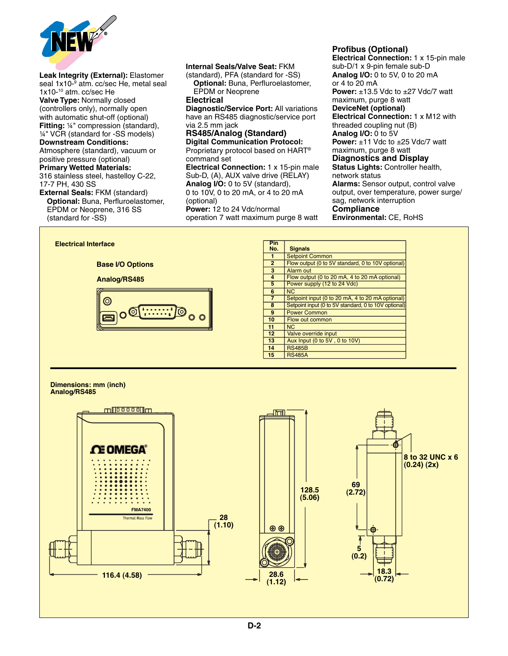

**Leak Integrity (External):** Elastomer seal 1x10-9 atm. cc/sec He, metal seal 1x10-10 atm. cc/sec He **Valve Type:** Normally closed (controllers only), normally open with automatic shut-off (optional) **Fitting:** ¼" compression (standard), ¼" VCR (standard for -SS models) **Downstream Conditions:**  Atmosphere (standard), vacuum or positive pressure (optional)

## **Primary Wetted Materials:**

316 stainless steel, hastelloy C-22, 17-7 PH, 430 SS

**External Seals:** FKM (standard)  **Optional:** Buna, Perfluroelastomer, EPDM or Neoprene, 316 SS (standard for -SS)

### **Internal Seals/Valve Seat:** FKM

(standard), PFA (standard for -SS)  **Optional:** Buna, Perfluroelastomer, EPDM or Neoprene

#### **Electrical**

**Diagnostic/Service Port:** All variations have an RS485 diagnostic/service port via 2.5 mm jack

#### **RS485/Analog (Standard) Digital Communication Protocol:**

Proprietary protocol based on HART® command set

**Electrical Connection:** 1 x 15-pin male Sub-D, (A), AUX valve drive (RELAY) **Analog I/O:** 0 to 5V (standard), 0 to 10V, 0 to 20 mA, or 4 to 20 mA (optional)

**Power:** 12 to 24 Vdc/normal operation 7 watt maximum purge 8 watt

#### **Profibus (Optional)**

**Electrical Connection:** 1 x 15-pin male sub-D/1 x 9-pin female sub-D **Analog I/O: 0 to 5V, 0 to 20 mA** or 4 to 20 mA **Power: ±13.5 Vdc to ±27 Vdc/7 watt** maximum, purge 8 watt **DeviceNet (optional) Electrical Connection:** 1 x M12 with threaded coupling nut (B) **Analog I/O:** 0 to 5V **Power: ±11 Vdc to ±25 Vdc/7 watt** maximum, purge 8 watt **Diagnostics and Display Status Lights:** Controller health, network status **Alarms:** Sensor output, control valve output, over temperature, power surge/ sag, network interruption **Compliance Environmental:** CE, RoHS



#### **Dimensions: mm (inch) Dimensions: mm (inch) Analog/RS485 Dimensions: mm (inch) Analog/RS485**